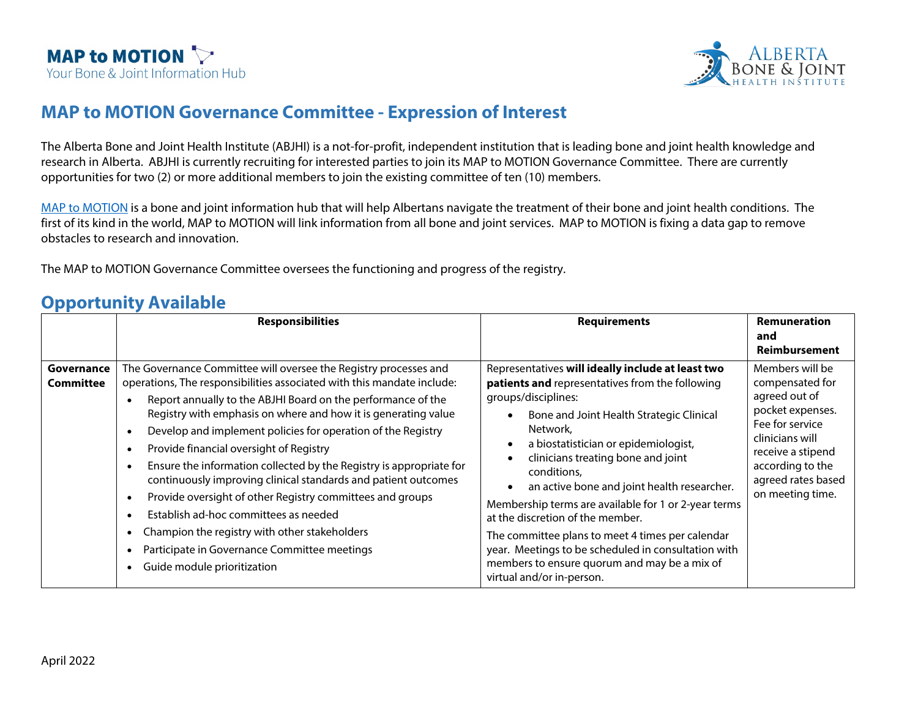



## **MAP to MOTION Governance Committee - Expression of Interest**

The Alberta Bone and Joint Health Institute (ABJHI) is a not-for-profit, independent institution that is leading bone and joint health knowledge and research in Alberta. ABJHI is currently recruiting for interested parties to join its MAP to MOTION Governance Committee. There are currently opportunities for two (2) or more additional members to join the existing committee of ten (10) members.

[MAP to MOTION](https://www.albertaboneandjoint.com/registry/) is a bone and joint information hub that will help Albertans navigate the treatment of their bone and joint health conditions. The first of its kind in the world, MAP to MOTION will link information from all bone and joint services. MAP to MOTION is fixing a data gap to remove obstacles to research and innovation.

The MAP to MOTION Governance Committee oversees the functioning and progress of the registry.

## **Opportunity Available**

|                                | <b>Responsibilities</b>                                                                                                                                                                                                                                                                                                                                                                                                                                                                                                                                                                                                                                                                                                                                                             | <b>Requirements</b>                                                                                                                                                                                                                                                                                                                                                                                                                                                                                                                                                                                                 | <b>Remuneration</b><br>and<br>Reimbursement                                                                                                                                                      |
|--------------------------------|-------------------------------------------------------------------------------------------------------------------------------------------------------------------------------------------------------------------------------------------------------------------------------------------------------------------------------------------------------------------------------------------------------------------------------------------------------------------------------------------------------------------------------------------------------------------------------------------------------------------------------------------------------------------------------------------------------------------------------------------------------------------------------------|---------------------------------------------------------------------------------------------------------------------------------------------------------------------------------------------------------------------------------------------------------------------------------------------------------------------------------------------------------------------------------------------------------------------------------------------------------------------------------------------------------------------------------------------------------------------------------------------------------------------|--------------------------------------------------------------------------------------------------------------------------------------------------------------------------------------------------|
| Governance<br><b>Committee</b> | The Governance Committee will oversee the Registry processes and<br>operations, The responsibilities associated with this mandate include:<br>Report annually to the ABJHI Board on the performance of the<br>Registry with emphasis on where and how it is generating value<br>Develop and implement policies for operation of the Registry<br>Provide financial oversight of Registry<br>$\bullet$<br>Ensure the information collected by the Registry is appropriate for<br>continuously improving clinical standards and patient outcomes<br>Provide oversight of other Registry committees and groups<br>Establish ad-hoc committees as needed<br>Champion the registry with other stakeholders<br>Participate in Governance Committee meetings<br>Guide module prioritization | Representatives will ideally include at least two<br>patients and representatives from the following<br>groups/disciplines:<br>Bone and Joint Health Strategic Clinical<br>Network,<br>a biostatistician or epidemiologist,<br>clinicians treating bone and joint<br>conditions,<br>an active bone and joint health researcher.<br>Membership terms are available for 1 or 2-year terms<br>at the discretion of the member.<br>The committee plans to meet 4 times per calendar<br>year. Meetings to be scheduled in consultation with<br>members to ensure quorum and may be a mix of<br>virtual and/or in-person. | Members will be<br>compensated for<br>agreed out of<br>pocket expenses.<br>Fee for service<br>clinicians will<br>receive a stipend<br>according to the<br>agreed rates based<br>on meeting time. |